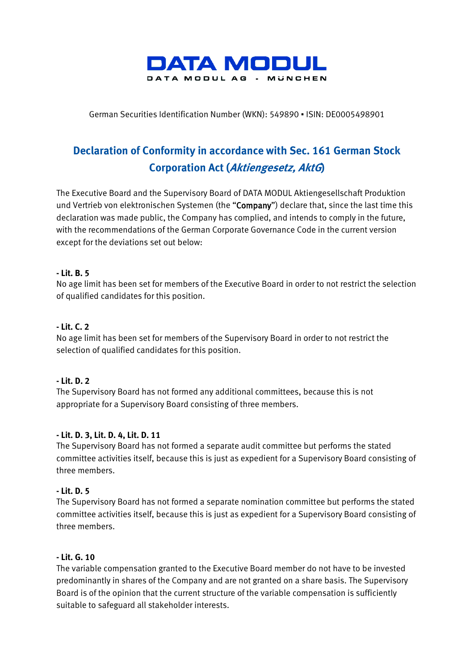

German Securities Identification Number (WKN): 549890 ▪ ISIN: DE0005498901

# **Declaration of Conformity in accordance with Sec. 161 German Stock Corporation Act (Aktiengesetz, AktG)**

The Executive Board and the Supervisory Board of DATA MODUL Aktiengesellschaft Produktion und Vertrieb von elektronischen Systemen (the "Company") declare that, since the last time this declaration was made public, the Company has complied, and intends to comply in the future, with the recommendations of the German Corporate Governance Code in the current version except for the deviations set out below:

## **- Lit. B. 5**

No age limit has been set for members of the Executive Board in order to not restrict the selection of qualified candidates for this position.

## **- Lit. C. 2**

No age limit has been set for members of the Supervisory Board in order to not restrict the selection of qualified candidates for this position.

#### **- Lit. D. 2**

The Supervisory Board has not formed any additional committees, because this is not appropriate for a Supervisory Board consisting of three members.

#### **- Lit. D. 3, Lit. D. 4, Lit. D. 11**

The Supervisory Board has not formed a separate audit committee but performs the stated committee activities itself, because this is just as expedient for a Supervisory Board consisting of three members.

#### **- Lit. D. 5**

The Supervisory Board has not formed a separate nomination committee but performs the stated committee activities itself, because this is just as expedient for a Supervisory Board consisting of three members.

#### **- Lit. G. 10**

The variable compensation granted to the Executive Board member do not have to be invested predominantly in shares of the Company and are not granted on a share basis. The Supervisory Board is of the opinion that the current structure of the variable compensation is sufficiently suitable to safeguard all stakeholder interests.